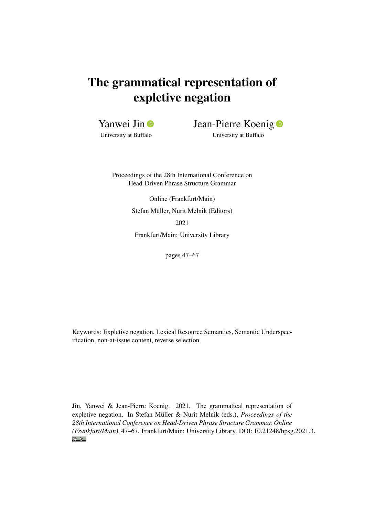# The grammatical representation of expletive negation

Yanwei Jin **D** 

University at Buffalo

Jean-Pierre Koenig **D** 

University at Buffalo

Proceedings of the 28th International Conference on Head-Driven Phrase Structure Grammar

> Online (Frankfurt/Main) Stefan Müller, Nurit Melnik (Editors)

> > 2021

Frankfurt/Main: University Library

pages 47–67

Keywords: Expletive negation, Lexical Resource Semantics, Semantic Underspecification, non-at-issue content, reverse selection

Jin, Yanwei & Jean-Pierre Koenig. 2021. The grammatical representation of expletive negation. In Stefan Müller & Nurit Melnik (eds.), *Proceedings of the 28th International Conference on Head-Driven Phrase Structure Grammar, Online (Frankfurt/Main)*, 47–67. Frankfurt/Main: University Library. DOI: [10.21248/hpsg.2021.3.](http://doi.org/10.21248/hpsg.2021.3) $\odot$   $\odot$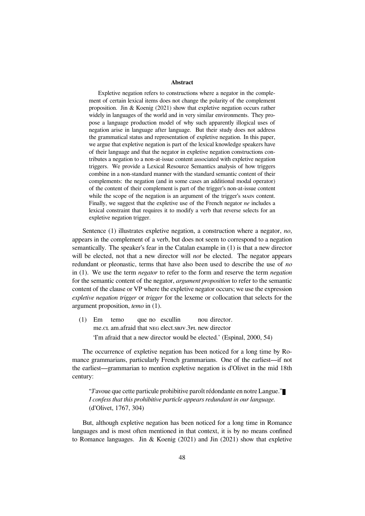#### **Abstract**

Expletive negation refers to constructions where a negator in the complement of certain lexical items does not change the polarity of the complement proposition. Jin & Koenig (2021) show that expletive negation occurs rather widely in languages of the world and in very similar environments. They propose a language production model of why such apparently illogical uses of negation arise in language after language. But their study does not address the grammatical status and representation of expletive negation. In this paper, we argue that expletive negation is part of the lexical knowledge speakers have of their language and that the negator in expletive negation constructions contributes a negation to a non-at-issue content associated with expletive negation triggers. We provide a Lexical Resource Semantics analysis of how triggers combine in a non-standard manner with the standard semantic content of their complements: the negation (and in some cases an additional modal operator) of the content of their complement is part of the trigger's non-at-issue content while the scope of the negation is an argument of the trigger's MAIN content. Finally, we suggest that the expletive use of the French negator *ne* includes a lexical constraint that requires it to modify a verb that reverse selects for an expletive negation trigger.

Sentence (1) illustrates expletive negation, a construction where a negator, *no*, appears in the complement of a verb, but does not seem to correspond to a negation semantically. The speaker's fear in the Catalan example in (1) is that a new director will be elected, not that a new director will *not* be elected. The negator appears redundant or pleonastic, terms that have also been used to describe the use of *no* in (1). We use the term *negator* to refer to the form and reserve the term *negation* for the semantic content of the negator, *argument proposition* to refer to the semantic content of the clause or VP where the expletive negator occurs; we use the expression *expletive negation trigger* or *trigger* for the lexeme or collocation that selects for the argument proposition, *temo* in (1).

(1) Em me.CL am.afraid that NEG elect.SBJV.3PL new director temo que no escullin nou director. 'I'm afraid that a new director would be elected.' (Espinal, 2000, 54)

The occurrence of expletive negation has been noticed for a long time by Romance grammarians, particularly French grammarians. One of the earliest—if not the earliest—grammarian to mention expletive negation is d'Olivet in the mid 18th century:

"J'avoue que cette particule prohibitive paroît rédondante en notre Langue." *I confess that this prohibitive particle appears redundant in our language.* (d'Olivet, 1767, 304)

But, although expletive negation has been noticed for a long time in Romance languages and is most often mentioned in that context, it is by no means confined to Romance languages. Jin & Koenig (2021) and Jin (2021) show that expletive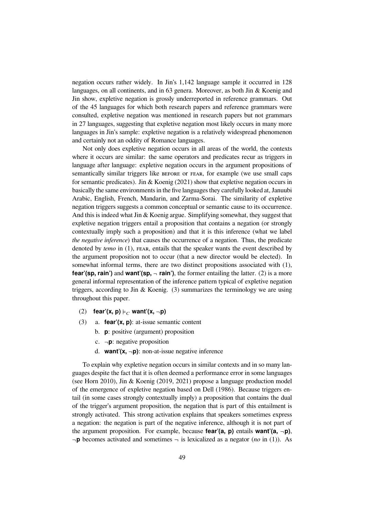negation occurs rather widely. In Jin's 1,142 language sample it occurred in 128 languages, on all continents, and in 63 genera. Moreover, as both Jin & Koenig and Jin show, expletive negation is grossly underreported in reference grammars. Out of the 45 languages for which both research papers and reference grammars were consulted, expletive negation was mentioned in research papers but not grammars in 27 languages, suggesting that expletive negation most likely occurs in many more languages in Jin's sample: expletive negation is a relatively widespread phenomenon and certainly not an oddity of Romance languages.

Not only does expletive negation occurs in all areas of the world, the contexts where it occurs are similar: the same operators and predicates recur as triggers in language after language: expletive negation occurs in the argument propositions of semantically similar triggers like BEFORE or FEAR, for example (we use small caps for semantic predicates). Jin & Koenig (2021) show that expletive negation occurs in basically the same environments in the five languages they carefully looked at, Januubi Arabic, English, French, Mandarin, and Zarma-Sorai. The similarity of expletive negation triggers suggests a common conceptual or semantic cause to its occurrence. And this is indeed what Jin  $&$  Koenig argue. Simplifying somewhat, they suggest that expletive negation triggers entail a proposition that contains a negation (or strongly contextually imply such a proposition) and that it is this inference (what we label *the negative inference*) that causes the occurrence of a negation. Thus, the predicate denoted by *temo* in (1), FEAR, entails that the speaker wants the event described by the argument proposition not to occur (that a new director would be elected). In somewhat informal terms, there are two distinct propositions associated with (1), **fear'(sp, rain')** and **want'(sp.**  $\neg$  **rain')**, the former entailing the latter. (2) is a more general informal representation of the inference pattern typical of expletive negation triggers, according to Jin & Koenig.  $(3)$  summarizes the terminology we are using throughout this paper.

- $(2)$  **fear'(x, p)**  $\models$  **want'(x, -p)**
- (3) a. **fear'(x, p)**: at-issue semantic content
	- b. **p**: positive (argument) proposition
	- c. ¬**p**: negative proposition
	- d. **want'** $(x, -p)$ : non-at-issue negative inference

To explain why expletive negation occurs in similar contexts and in so many languages despite the fact that it is often deemed a performance error in some languages (see Horn 2010), Jin & Koenig (2019, 2021) propose a language production model of the emergence of expletive negation based on Dell (1986). Because triggers entail (in some cases strongly contextually imply) a proposition that contains the dual of the trigger's argument proposition, the negation that is part of this entailment is strongly activated. This strong activation explains that speakers sometimes express a negation: the negation is part of the negative inference, although it is not part of the argument proposition. For example, because **fear'(a, p)** entails **want'(a,**  $\neg$ **p)**,  $\neg$ **p** becomes activated and sometimes  $\neg$  is lexicalized as a negator (*no* in (1)). As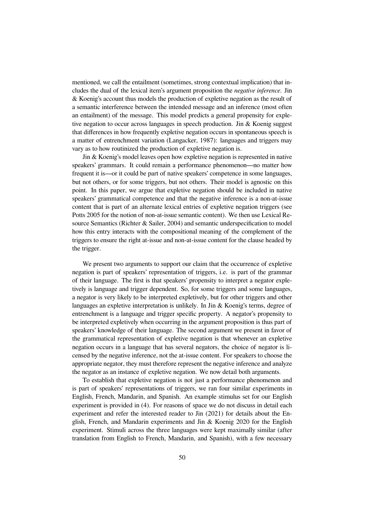mentioned, we call the entailment (sometimes, strong contextual implication) that includes the dual of the lexical item's argument proposition the *negative inference*. Jin & Koenig's account thus models the production of expletive negation as the result of a semantic interference between the intended message and an inference (most often an entailment) of the message. This model predicts a general propensity for expletive negation to occur across languages in speech production. Jin & Koenig suggest that differences in how frequently expletive negation occurs in spontaneous speech is a matter of entrenchment variation (Langacker, 1987): languages and triggers may vary as to how routinized the production of expletive negation is.

Jin & Koenig's model leaves open how expletive negation is represented in native speakers' grammars. It could remain a performance phenomenon—no matter how frequent it is—or it could be part of native speakers' competence in some languages, but not others, or for some triggers, but not others. Their model is agnostic on this point. In this paper, we argue that expletive negation should be included in native speakers' grammatical competence and that the negative inference is a non-at-issue content that is part of an alternate lexical entries of expletive negation triggers (see Potts 2005 for the notion of non-at-issue semantic content). We then use Lexical Resource Semantics (Richter & Sailer, 2004) and semantic underspecification to model how this entry interacts with the compositional meaning of the complement of the triggers to ensure the right at-issue and non-at-issue content for the clause headed by the trigger.

We present two arguments to support our claim that the occurrence of expletive negation is part of speakers' representation of triggers, i.e. is part of the grammar of their language. The first is that speakers' propensity to interpret a negator expletively is language and trigger dependent. So, for some triggers and some languages, a negator is very likely to be interpreted expletively, but for other triggers and other languages an expletive interpretation is unlikely. In Jin & Koenig's terms, degree of entrenchment is a language and trigger specific property. A negator's propensity to be interpreted expletively when occurring in the argument proposition is thus part of speakers' knowledge of their language. The second argument we present in favor of the grammatical representation of expletive negation is that whenever an expletive negation occurs in a language that has several negators, the choice of negator is licensed by the negative inference, not the at-issue content. For speakers to choose the appropriate negator, they must therefore represent the negative inference and analyze the negator as an instance of expletive negation. We now detail both arguments.

To establish that expletive negation is not just a performance phenomenon and is part of speakers' representations of triggers, we ran four similar experiments in English, French, Mandarin, and Spanish. An example stimulus set for our English experiment is provided in (4). For reasons of space we do not discuss in detail each experiment and refer the interested reader to Jin (2021) for details about the English, French, and Mandarin experiments and Jin & Koenig 2020 for the English experiment. Stimuli across the three languages were kept maximally similar (after translation from English to French, Mandarin, and Spanish), with a few necessary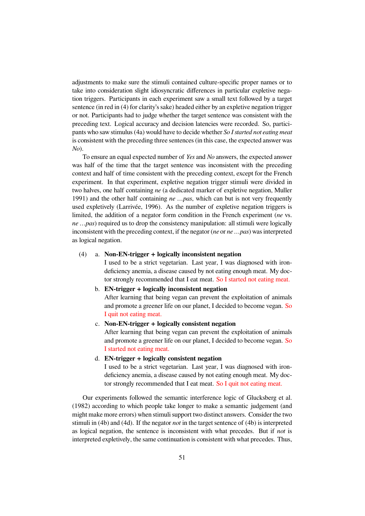adjustments to make sure the stimuli contained culture-specific proper names or to take into consideration slight idiosyncratic differences in particular expletive negation triggers. Participants in each experiment saw a small text followed by a target sentence (in red in (4) for clarity's sake) headed either by an expletive negation trigger or not. Participants had to judge whether the target sentence was consistent with the preceding text. Logical accuracy and decision latencies were recorded. So, participants who saw stimulus (4a) would have to decide whether *So I started not eating meat* is consistent with the preceding three sentences (in this case, the expected answer was *No*).

To ensure an equal expected number of *Yes* and *No* answers, the expected answer was half of the time that the target sentence was inconsistent with the preceding context and half of time consistent with the preceding context, except for the French experiment. In that experiment, expletive negation trigger stimuli were divided in two halves, one half containing *ne* (a dedicated marker of expletive negation, Muller 1991) and the other half containing *ne …pas*, which can but is not very frequently used expletively (Larrivée, 1996). As the number of expletive negation triggers is limited, the addition of a negator form condition in the French experiment (*ne* vs. *ne …pas*) required us to drop the consistency manipulation: all stimuli were logically inconsistent with the preceding context, if the negator (*ne* or *ne …pas*) was interpreted as logical negation.

#### (4) a. **Non-EN-trigger + logically inconsistent negation**

I used to be a strict vegetarian. Last year, I was diagnosed with irondeficiency anemia, a disease caused by not eating enough meat. My doctor strongly recommended that I eat meat. So I started not eating meat.

#### b. **EN-trigger + logically inconsistent negation**

After learning that being vegan can prevent the exploitation of animals and promote a greener life on our planet, I decided to become vegan. So I quit not eating meat.

c. **Non-EN-trigger + logically consistent negation**

After learning that being vegan can prevent the exploitation of animals and promote a greener life on our planet, I decided to become vegan. So I started not eating meat.

### d. **EN-trigger + logically consistent negation**

I used to be a strict vegetarian. Last year, I was diagnosed with irondeficiency anemia, a disease caused by not eating enough meat. My doctor strongly recommended that I eat meat. So I quit not eating meat.

Our experiments followed the semantic interference logic of Glucksberg et al. (1982) according to which people take longer to make a semantic judgement (and might make more errors) when stimuli support two distinct answers. Consider the two stimuli in (4b) and (4d). If the negator *not* in the target sentence of (4b) is interpreted as logical negation, the sentence is inconsistent with what precedes. But if *not* is interpreted expletively, the same continuation is consistent with what precedes. Thus,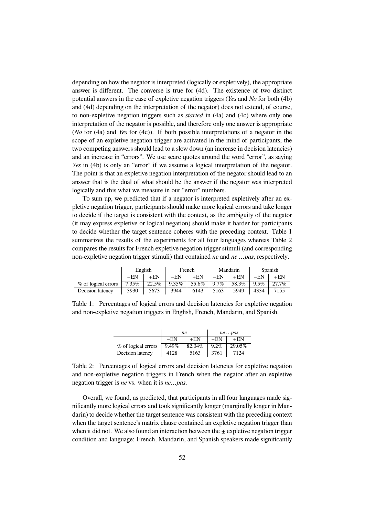depending on how the negator is interpreted (logically or expletively), the appropriate answer is different. The converse is true for (4d). The existence of two distinct potential answers in the case of expletive negation triggers (*Yes* and *No* for both (4b) and (4d) depending on the interpretation of the negator) does not extend, of course, to non-expletive negation triggers such as *started* in (4a) and (4c) where only one interpretation of the negator is possible, and therefore only one answer is appropriate (*No* for (4a) and *Yes* for (4c)). If both possible interpretations of a negator in the scope of an expletive negation trigger are activated in the mind of participants, the two competing answers should lead to a slow down (an increase in decision latencies) and an increase in "errors". We use scare quotes around the word "error", as saying *Yes* in (4b) is only an "error" if we assume a logical interpretation of the negator. The point is that an expletive negation interpretation of the negator should lead to an answer that is the dual of what should be the answer if the negator was interpreted logically and this what we measure in our "error" numbers.

To sum up, we predicted that if a negator is interpreted expletively after an expletive negation trigger, participants should make more logical errors and take longer to decide if the target is consistent with the context, as the ambiguity of the negator (it may express expletive or logical negation) should make it harder for participants to decide whether the target sentence coheres with the preceding context. Table 1 summarizes the results of the experiments for all four languages whereas Table 2 compares the results for French expletive negation trigger stimuli (and corresponding non-expletive negation trigger stimuli) that contained *ne* and *ne …pas*, respectively.

|                     | English |       | French   |       | Mandarin |       | Spanish |          |
|---------------------|---------|-------|----------|-------|----------|-------|---------|----------|
|                     | $-EN$   | +EN   | $-EN$    | $+EN$ | $-EN$    | +EN   | $-EN$   | $+EN$    |
| % of logical errors | 7.35%   | 22.5% | $9.35\%$ | 55.6% | $9.7\%$  | 58.3% | 9.5%    | $27.7\%$ |
| Decision latency    | 3930    | 5673  | 3944     | 6143  | 5163     | 5949  | 4334    | 7155     |

Table 1: Percentages of logical errors and decision latencies for expletive negation and non-expletive negation triggers in English, French, Mandarin, and Spanish.

|                     |       | ne     | ne pas  |        |  |
|---------------------|-------|--------|---------|--------|--|
|                     | $-EN$ | $+EN$  | $-EN$   | $+EN$  |  |
| % of logical errors | 9.49% | 82.04% | $9.2\%$ | 29.05% |  |
| Decision latency    | 4128  | 5163   | 3761    | 7124   |  |

Table 2: Percentages of logical errors and decision latencies for expletive negation and non-expletive negation triggers in French when the negator after an expletive negation trigger is *ne* vs. when it is *ne…pas*.

Overall, we found, as predicted, that participants in all four languages made significantly more logical errors and took significantly longer (marginally longer in Mandarin) to decide whether the target sentence was consistent with the preceding context when the target sentence's matrix clause contained an expletive negation trigger than when it did not. We also found an interaction between the  $\pm$  expletive negation trigger condition and language: French, Mandarin, and Spanish speakers made significantly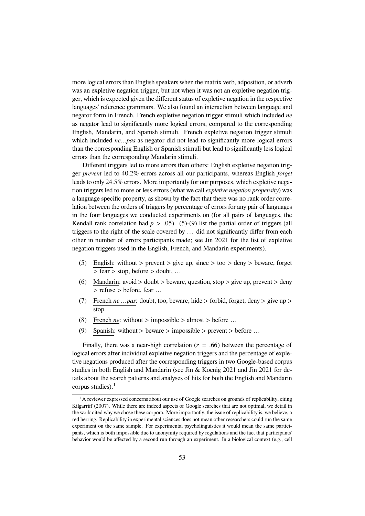more logical errors than English speakers when the matrix verb, adposition, or adverb was an expletive negation trigger, but not when it was not an expletive negation trigger, which is expected given the different status of expletive negation in the respective languages' reference grammars. We also found an interaction between language and negator form in French. French expletive negation trigger stimuli which included *ne* as negator lead to significantly more logical errors, compared to the corresponding English, Mandarin, and Spanish stimuli. French expletive negation trigger stimuli which included *ne...pas* as negator did not lead to significantly more logical errors than the corresponding English or Spanish stimuli but lead to significantly less logical errors than the corresponding Mandarin stimuli.

Different triggers led to more errors than others: English expletive negation trigger *prevent* led to 40.2% errors across all our participants, whereas English *forget* leads to only 24.5% errors. More importantly for our purposes, which expletive negation triggers led to more or less errors (what we call *expletive negation propensity*) was a language specific property, as shown by the fact that there was no rank order correlation between the orders of triggers by percentage of errors for any pair of languages in the four languages we conducted experiments on (for all pairs of languages, the Kendall rank correlation had  $p > .05$ ). (5)-(9) list the partial order of triggers (all triggers to the right of the scale covered by … did not significantly differ from each other in number of errors participants made; see Jin 2021 for the list of expletive negation triggers used in the English, French, and Mandarin experiments).

- (5) English: without > prevent > give up, since > too > deny > beware, forget  $\sqrt{ }$  > fear > stop, before > doubt, ...
- (6) Mandarin: avoid  $>$  doubt  $>$  beware, question, stop  $>$  give up, prevent  $>$  deny > refuse > before, fear …
- (7) French *ne …pas*: doubt, too, beware, hide > forbid, forget, deny > give up > stop
- (8) French *ne*: without  $>$  impossible  $>$  almost  $>$  before ...
- (9) Spanish: without > beware > impossible > prevent > before …

Finally, there was a near-high correlation ( $r = .66$ ) between the percentage of logical errors after individual expletive negation triggers and the percentage of expletive negations produced after the corresponding triggers in two Google-based corpus studies in both English and Mandarin (see Jin & Koenig 2021 and Jin 2021 for details about the search patterns and analyses of hits for both the English and Mandarin corpus studies). $<sup>1</sup>$ </sup>

 $<sup>1</sup>A$  reviewer expressed concerns about our use of Google searches on grounds of replicability, citing</sup> Kilgarriff (2007). While there are indeed aspects of Google searches that are not optimal, we detail in the work cited why we chose these corpora. More importantly, the issue of replicability is, we believe, a red herring. Replicability in experimental sciences does not mean other researchers could run the same experiment on the same sample. For experimental psycholinguistics it would mean the same participants, which is both impossible due to anonymity required by regulations and the fact that participants' behavior would be affected by a second run through an experiment. In a biological context (e.g., cell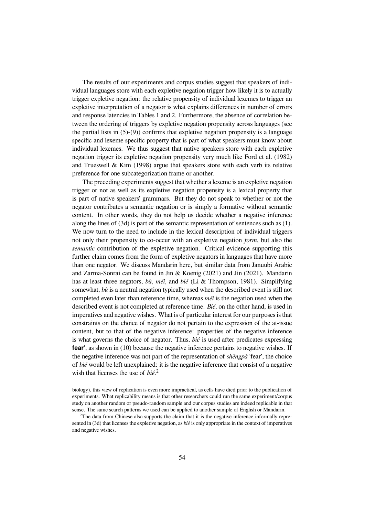The results of our experiments and corpus studies suggest that speakers of individual languages store with each expletive negation trigger how likely it is to actually trigger expletive negation: the relative propensity of individual lexemes to trigger an expletive interpretation of a negator is what explains differences in number of errors and response latencies in Tables 1 and 2. Furthermore, the absence of correlation between the ordering of triggers by expletive negation propensity across languages (see the partial lists in  $(5)-(9)$ ) confirms that expletive negation propensity is a language specific and lexeme specific property that is part of what speakers must know about individual lexemes. We thus suggest that native speakers store with each expletive negation trigger its expletive negation propensity very much like Ford et al. (1982) and Trueswell & Kim (1998) argue that speakers store with each verb its relative preference for one subcategorization frame or another.

The preceding experiments suggest that whether a lexeme is an expletive negation trigger or not as well as its expletive negation propensity is a lexical property that is part of native speakers' grammars. But they do not speak to whether or not the negator contributes a semantic negation or is simply a formative without semantic content. In other words, they do not help us decide whether a negative inference along the lines of (3d) is part of the semantic representation of sentences such as (1). We now turn to the need to include in the lexical description of individual triggers not only their propensity to co-occur with an expletive negation *form*, but also the *semantic* contribution of the expletive negation. Critical evidence supporting this further claim comes from the form of expletive negators in languages that have more than one negator. We discuss Mandarin here, but similar data from Januubi Arabic and Zarma-Sonrai can be found in Jin & Koenig (2021) and Jin (2021). Mandarin has at least three negators, *bù*, *méi*, and *bié* (Li & Thompson, 1981). Simplifying somewhat, *bù* is a neutral negation typically used when the described event is still not completed even later than reference time, whereas *méi* is the negation used when the described event is not completed at reference time. *Bié*, on the other hand, is used in imperatives and negative wishes. What is of particular interest for our purposes is that constraints on the choice of negator do not pertain to the expression of the at-issue content, but to that of the negative inference: properties of the negative inference is what governs the choice of negator. Thus, *bié* is used after predicates expressing **fear'**, as shown in (10) because the negative inference pertains to negative wishes. If the negative inference was not part of the representation of *shēngpà* 'fear', the choice of *bié* would be left unexplained: it is the negative inference that consist of a negative wish that licenses the use of *bié*. 2

biology), this view of replication is even more impractical, as cells have died prior to the publication of experiments. What replicability means is that other researchers could run the same experiment/corpus study on another random or pseudo-random sample and our corpus studies are indeed replicable in that sense. The same search patterns we used can be applied to another sample of English or Mandarin.

 $2$ The data from Chinese also supports the claim that it is the negative inference informally represented in (3d) that licenses the expletive negation, as *bié* is only appropriate in the context of imperatives and negative wishes.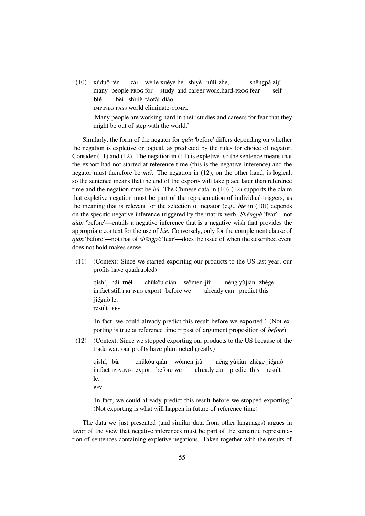(10) xǔduō rén many people PROG for zài wèile xuéyè hé shìyè nǔlì-zhe, study and career work.hard-PROG fear shēngpà zìjǐ self **bié** IMP.NEG PASS world eliminate-COMPL bèi shìjiè táotài-diào. 'Many people are working hard in their studies and careers for fear that they might be out of step with the world.'

Similarly, the form of the negator for *qián* 'before' differs depending on whether the negation is expletive or logical, as predicted by the rules for choice of negator. Consider (11) and (12). The negation in (11) is expletive, so the sentence means that the export had not started at reference time (this is the negative inference) and the negator must therefore be *méi*. The negation in (12), on the other hand, is logical, so the sentence means that the end of the exports will take place later than reference time and the negation must be *bù*. The Chinese data in (10)-(12) supports the claim that expletive negation must be part of the representation of individual triggers, as the meaning that is relevant for the selection of negator (e.g., *bié* in (10)) depends on the specific negative inference triggered by the matrix verb. *Shēngpà* 'fear'—not *qián* 'before'—entails a negative inference that is a negative wish that provides the appropriate context for the use of *bié*. Conversely, only for the complement clause of *qián* 'before'—not that of *shēngpà* 'fear'—does the issue of when the described event does not hold makes sense.

(11) (Context: Since we started exporting our products to the US last year, our profits have quadrupled)

qíshí, hái **méi** in.fact still PRF.NEG export before we chūkǒu qián wǒmen jiù already can predict this néng yùjiàn zhège jiéguǒ le. result PFV

'In fact, we could already predict this result before we exported.' (Not exporting is true at reference time = past of argument proposition of *before*)

(12) (Context: Since we stopped exporting our products to the US because of the trade war, our profits have plummeted greatly)

qíshí, **bù** in.fact IPFV.NEG export before we chūkǒu qián wǒmen jiù already can predict this result néng yùjiàn zhège jiéguǒ le.

PFV

'In fact, we could already predict this result before we stopped exporting.' (Not exporting is what will happen in future of reference time)

The data we just presented (and similar data from other languages) argues in favor of the view that negative inferences must be part of the semantic representation of sentences containing expletive negations. Taken together with the results of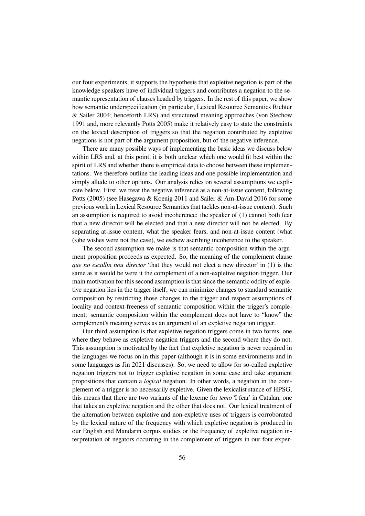our four experiments, it supports the hypothesis that expletive negation is part of the knowledge speakers have of individual triggers and contributes a negation to the semantic representation of clauses headed by triggers. In the rest of this paper, we show how semantic underspecification (in particular, Lexical Resource Semantics Richter & Sailer 2004; henceforth LRS) and structured meaning approaches (von Stechow 1991 and, more relevantly Potts 2005) make it relatively easy to state the constraints on the lexical description of triggers so that the negation contributed by expletive negations is not part of the argument proposition, but of the negative inference.

There are many possible ways of implementing the basic ideas we discuss below within LRS and, at this point, it is both unclear which one would fit best within the spirit of LRS and whether there is empirical data to choose between these implementations. We therefore outline the leading ideas and one possible implementation and simply allude to other options. Our analysis relies on several assumptions we explicate below. First, we treat the negative inference as a non-at-issue content, following Potts (2005) (see Hasegawa & Koenig 2011 and Sailer & Am-David 2016 for some previous work in Lexical Resource Semantics that tackles non-at-issue content). Such an assumption is required to avoid incoherence: the speaker of (1) cannot both fear that a new director will be elected and that a new director will not be elected. By separating at-issue content, what the speaker fears, and non-at-issue content (what (s)he wishes were not the case), we eschew ascribing incoherence to the speaker.

The second assumption we make is that semantic composition within the argument proposition proceeds as expected. So, the meaning of the complement clause *que no escullin nou director* 'that they would not elect a new director' in (1) is the same as it would be were it the complement of a non-expletive negation trigger. Our main motivation for this second assumption is that since the semantic oddity of expletive negation lies in the trigger itself, we can minimize changes to standard semantic composition by restricting those changes to the trigger and respect assumptions of locality and context-freeness of semantic composition within the trigger's complement: semantic composition within the complement does not have to "know" the complement's meaning serves as an argument of an expletive negation trigger.

Our third assumption is that expletive negation triggers come in two forms, one where they behave as expletive negation triggers and the second where they do not. This assumption is motivated by the fact that expletive negation is never required in the languages we focus on in this paper (although it is in some environments and in some languages as Jin 2021 discusses). So, we need to allow for so-called expletive negation triggers not to trigger expletive negation in some case and take argument propositions that contain a *logical* negation. In other words, a negation in the complement of a trigger is no necessarily expletive. Given the lexicalist stance of HPSG, this means that there are two variants of the lexeme for *temo* 'I fear' in Catalan, one that takes an expletive negation and the other that does not. Our lexical treatment of the alternation between expletive and non-expletive uses of triggers is corroborated by the lexical nature of the frequency with which expletive negation is produced in our English and Mandarin corpus studies or the frequency of expletive negation interpretation of negators occurring in the complement of triggers in our four exper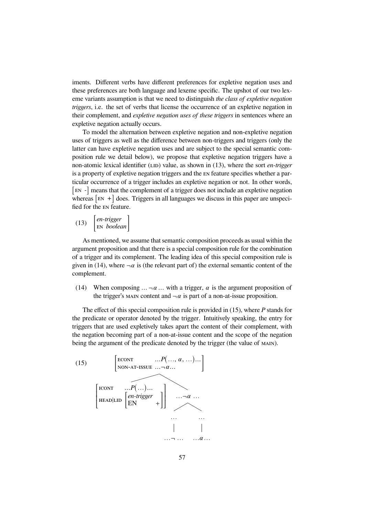iments. Different verbs have different preferences for expletive negation uses and these preferences are both language and lexeme specific. The upshot of our two lexeme variants assumption is that we need to distinguish *the class of expletive negation triggers*, i.e. the set of verbs that license the occurrence of an expletive negation in their complement, and *expletive negation uses of these triggers* in sentences where an expletive negation actually occurs.

To model the alternation between expletive negation and non-expletive negation uses of triggers as well as the difference between non-triggers and triggers (only the latter can have expletive negation uses and are subject to the special semantic composition rule we detail below), we propose that expletive negation triggers have a non-atomic lexical identifier (LID) value, as shown in (13), where the sort *en-trigger* is a property of expletive negation triggers and the EN feature specifies whether a particular occurrence of a trigger includes an expletive negation or not. In other words, [EN *-*] means that the complement of a trigger does not include an expletive negation whereas  $\left[\text{EN } + \right]$  does. Triggers in all languages we discuss in this paper are unspecified for the EN feature.

(13)  $\begin{vmatrix} en-trigger \\ EN \ bookdan \end{vmatrix}$ 

As mentioned, we assume that semantic composition proceeds as usual within the argument proposition and that there is a special composition rule for the combination of a trigger and its complement. The leading idea of this special composition rule is given in (14), where  $\neg \alpha$  is (the relevant part of) the external semantic content of the complement.

(14) When composing  $\ldots \neg \alpha \ldots$  with a trigger,  $\alpha$  is the argument proposition of the trigger's MAIN content and  $\neg \alpha$  is part of a non-at-issue proposition.

The effect of this special composition rule is provided in (15), where *P* stands for the predicate or operator denoted by the trigger. Intuitively speaking, the entry for triggers that are used expletively takes apart the content of their complement, with the negation becoming part of a non-at-issue content and the scope of the negation being the argument of the predicate denoted by the trigger (the value of MAIN).

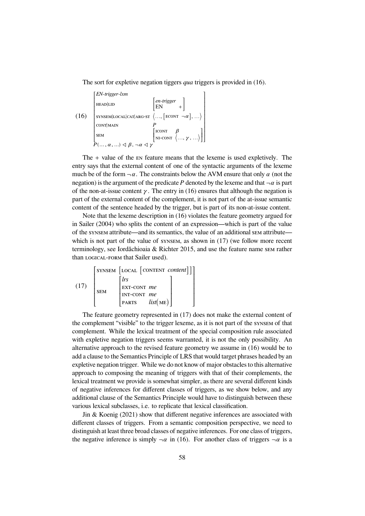The sort for expletive negation tiggers *qua* triggers is provided in (16).

$$
(16) \begin{bmatrix} EN-trigger-Lxm \\ \text{HEAD|LD} & \begin{bmatrix} en-trigger \\ EN & + \end{bmatrix} \\ \text{STNSEM|LOCAL|CAT|ARG-ST} & \dots & \begin{bmatrix} e & -trigger \\ EN & + \end{bmatrix} \\ \text{CONT|MAN} & P \\ \text{SEM} & \begin{bmatrix} I & \mathbf{CONT} & \mathbf{A} \\ \mathbf{N} & -\mathbf{CONT} & \langle \dots, \gamma, \dots \rangle \end{bmatrix} \\ \text{PEM} & \begin{bmatrix} I & \mathbf{CONT} & \mathbf{A} \\ \mathbf{N} & -\mathbf{CONT} & \langle \dots, \gamma, \dots \rangle \end{bmatrix} \end{bmatrix}
$$

The  $+$  value of the  $EN$  feature means that the lexeme is used expletively. The entry says that the external content of one of the syntactic arguments of the lexeme much be of the form  $\neg \alpha$ . The constraints below the AVM ensure that only  $\alpha$  (not the negation) is the argument of the predicate P denoted by the lexeme and that  $\neg \alpha$  is part of the non-at-issue content  $\gamma$ . The entry in (16) ensures that although the negation is part of the external content of the complement, it is not part of the at-issue semantic content of the sentence headed by the trigger, but is part of its non-at-issue content.

Note that the lexeme description in (16) violates the feature geometry argued for in Sailer (2004) who splits the content of an expression—which is part of the value of the SYNSEM attribute—and its semantics, the value of an additional SEM attribute which is not part of the value of synsem, as shown in  $(17)$  (we follow more recent terminology, see Iordǎchioaia & Richter 2015, and use the feature name SEM rather than LOGICAL-FORM that Sailer used).

(17) 
$$
\begin{bmatrix} \text{SYNSEM} & \text{[LOCAL [CONTENT content]}] \\ \text{SEM} & \begin{bmatrix} lrs \\ \text{EXT-CONT} & me \\ \text{INT-CONT} & me \\ \text{PARTS} & list(\text{ME}) \end{bmatrix} \end{bmatrix}
$$

The feature geometry represented in (17) does not make the external content of the complement "visible" to the trigger lexeme, as it is not part of the SYNSEM of that complement. While the lexical treatment of the special composition rule associated with expletive negation triggers seems warranted, it is not the only possibility. An alternative approach to the revised feature geometry we assume in (16) would be to add a clause to the Semantics Principle of LRS that would target phrases headed by an expletive negation trigger. While we do not know of major obstacles to this alternative approach to composing the meaning of triggers with that of their complements, the lexical treatment we provide is somewhat simpler, as there are several different kinds of negative inferences for different classes of triggers, as we show below, and any additional clause of the Semantics Principle would have to distinguish between these various lexical subclasses, i.e. to replicate that lexical classification.

Jin & Koenig (2021) show that different negative inferences are associated with different classes of triggers. From a semantic composition perspective, we need to distinguish at least three broad classes of negative inferences. For one class of triggers, the negative inference is simply  $\neg \alpha$  in (16). For another class of triggers  $\neg \alpha$  is a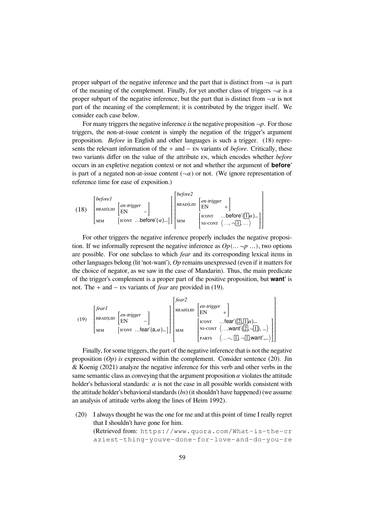proper subpart of the negative inference and the part that is distinct from  $\neg \alpha$  is part of the meaning of the complement. Finally, for yet another class of triggers  $\neg \alpha$  is a proper subpart of the negative inference, but the part that is distinct from  $\neg \alpha$  is not part of the meaning of the complement; it is contributed by the trigger itself. We consider each case below.

For many triggers the negative inference *is* the negative proposition  $\neg p$ . For those triggers, the non-at-issue content is simply the negation of the trigger's argument proposition. *Before* in English and other languages is such a trigger. (18) represents the relevant information of the + and − EN variants of *before*. Critically, these two variants differ on the value of the attribute EN, which encodes whether *before* occurs in an expletive negation context or not and whether the argument of **before'** is part of a negated non-at-issue content  $(\neg \alpha)$  or not. (We ignore representation of reference time for ease of exposition.)

(18) 
$$
\begin{bmatrix} \text{before1} \\ \text{Heap} \\ \text{sem} \end{bmatrix} \begin{bmatrix} \text{en-trigger} \\ \text{EN} \\ \text{EN} \end{bmatrix} - \begin{bmatrix} \text{en-trigger} \\ \text{EN} \\ \text{ICONT} \end{bmatrix} \begin{bmatrix} \text{before2} \\ \text{Heap} \\ \text{EN} \end{bmatrix} \begin{bmatrix} \text{en-trigger} \\ \text{EN} \\ \text{SEM} \end{bmatrix} + \begin{bmatrix} \text{on-integer} \\ \text{EN} \\ \text{N1-CONT} \end{bmatrix} \begin{bmatrix} \text{on-integer} \\ \text{IN} \\ \text{N1-CONT} \end{bmatrix}
$$

For other triggers the negative inference properly includes the negative proposition. If we informally represent the negative inference as  $Op(\ldots \neg p \ldots)$ , two options are possible. For one subclass to which *fear* and its corresponding lexical items in other languages belong (lit 'not-want'),  $Op$  remains unexpressed (even if it matters for the choice of negator, as we saw in the case of Mandarin). Thus, the main predicate of the trigger's complement is a proper part of the positive proposition, but **want'** is not. The + and − EN variants of *fear* are provided in (19).

(19) 
$$
\begin{bmatrix} \text{fear1} \\ \text{HEAD|LID} \\ \text{SEM} \end{bmatrix} \begin{bmatrix} \text{en-trigger} \\ \text{EN} \\ \text{ICONT} \end{bmatrix} = \begin{bmatrix} \text{fan2} \\ \text{HEAD|LID} \\ \text{EN} \end{bmatrix} \begin{bmatrix} \text{far2} \\ \text{ERAD} \\ \text{EN} \end{bmatrix} + \begin{bmatrix} \text{en-trigger} \\ \text{EN} \\ \text{IN} \end{bmatrix} + \begin{bmatrix} \text{en-trigger} \\ \text{IN} \end{bmatrix} + \begin{bmatrix} \text{len-trigger} \\ \text{IN} \end{bmatrix} + \begin{bmatrix} \text{IN} \\ \text{IN} \end{bmatrix} \begin{bmatrix} \text{IN} \\ \text{IN} \end{bmatrix} + \begin{bmatrix} \text{IN} \\ \text{IN} \end{bmatrix} \begin{bmatrix} \text{IN} \\ \text{IN} \end{bmatrix} + \begin{bmatrix} \text{IN} \\ \text{IN} \end{bmatrix} \begin{bmatrix} \text{IN} \\ \text{IN} \end{bmatrix} \begin{bmatrix} \text{IN} \\ \text{IN} \end{bmatrix} \begin{bmatrix} \text{IN} \\ \text{IN} \end{bmatrix} + \begin{bmatrix} \text{IN} \\ \text{IN} \end{bmatrix} \begin{bmatrix} \text{IN} \\ \text{IN} \end{bmatrix} \begin{bmatrix} \text{IN} \\ \text{IN} \end{bmatrix} + \begin{bmatrix} \text{IN} \\ \text{IN} \end{bmatrix} \begin{bmatrix} \text{IN} \\ \text{IN} \end{bmatrix} \begin{bmatrix} \text{IN} \\ \text{IN} \end{bmatrix} + \begin{bmatrix} \text{IN} \\ \text{IN} \end{bmatrix} \begin{bmatrix} \text{IN} \\ \text{IN} \end{bmatrix} \begin{bmatrix} \text{IN} \\ \text{IN} \end{bmatrix} + \begin{bmatrix} \text{IN} \\ \text{IN} \end{bmatrix} \begin{bmatrix} \text{IN} \\ \text{IN} \end{bmatrix} \begin{bmatrix} \text{IN} \\ \text{IN} \end{bmatrix} + \begin{bmatrix} \text{IN} \\ \text{IN} \end{bmatrix} \begin{bmatrix} \text{IN} \\ \text{IN} \end{bmatrix} \begin{bmatrix} \text{IN} \\ \text{IN} \end{bmatrix} + \begin{bmatrix
$$

Finally, for some triggers, the part of the negative inference that is not the negative proposition  $(Dp)$  *is* expressed within the complement. Consider sentence (20). Jin & Koenig (2021) analyze the negative inference for this verb and other verbs in the same semantic class as conveying that the argument proposition  $\alpha$  violates the attitude holder's behavioral standards:  $\alpha$  is not the case in all possible worlds consistent with the attitude holder's behavioral standards (*bs*) (it shouldn't have happened) (we assume an analysis of attitude verbs along the lines of Heim 1992).

(20) I always thought he was the one for me and at this point of time I really regret that I shouldn't have gone for him. (Retrieved from: https://www.quora.com/What-is-the-cr aziest-thing-youve-done-for-love-and-do-you-re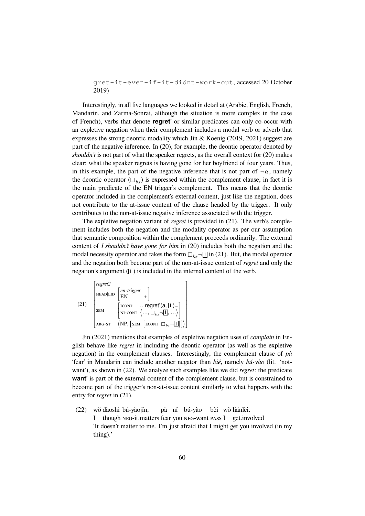gret-it-even-if-it-didnt-work-out, accessed 20 October 2019)

Interestingly, in all five languages we looked in detail at (Arabic, English, French, Mandarin, and Zarma-Sonrai, although the situation is more complex in the case of French), verbs that denote **regret'** or similar predicates can only co-occur with an expletive negation when their complement includes a modal verb or adverb that expresses the strong deontic modality which Jin & Koenig (2019, 2021) suggest are part of the negative inference. In (20), for example, the deontic operator denoted by *shouldn't* is not part of what the speaker regrets, as the overall context for (20) makes clear: what the speaker regrets is having gone for her boyfriend of four years. Thus, in this example, the part of the negative inference that is not part of  $\neg \alpha$ , namely the deontic operator  $(\Box_{hS})$  is expressed within the complement clause, in fact it is the main predicate of the EN trigger's complement. This means that the deontic operator included in the complement's external content, just like the negation, does not contribute to the at-issue content of the clause headed by the trigger. It only contributes to the non-at-issue negative inference associated with the trigger.

The expletive negation variant of *regret* is provided in (21). The verb's complement includes both the negation and the modality operator as per our assumption that semantic composition within the complement proceeds ordinarily. The external content of *I shouldn't have gone for him* in (20) includes both the negation and the modal necessity operator and takes the form  $\Box_{bs}$  -  $\Box$  in (21). But, the modal operator and the negation both become part of the non-at-issue content of *regret* and only the negation's argument  $(1)$  is included in the internal content of the verb.

$$
(21)
$$
\n
$$
\begin{bmatrix}\nregret2 \\
HEAD|LID \n\end{bmatrix}\n\begin{bmatrix}\nen-trigger \\
EN \\
\hline\n\end{bmatrix} + \n\begin{bmatrix}\nnorm &...regret'(a, \boxed{1})... \\
sum &... \\
NI-CONT \n\end{bmatrix} + \n\begin{bmatrix}\nnorm &...regret'(a, \boxed{1})... \\
NN-CONT \n\end{bmatrix} + \n\begin{bmatrix}\norm &...regret'(a, \boxed{1})... \\
NNP, \n\end{bmatrix} + \n\begin{bmatrix}\nSNI \n\end{bmatrix} + \n\begin{bmatrix}\nSNI \n\end{bmatrix} + \n\begin{bmatrix}\nSNI \n\end{bmatrix} + \n\begin{bmatrix}\nSNI \n\end{bmatrix} + \n\begin{bmatrix}\nSNI \n\end{bmatrix} + \n\begin{bmatrix}\nSNI \n\end{bmatrix} + \n\begin{bmatrix}\nSNI \n\end{bmatrix} + \n\begin{bmatrix}\nSNI \n\end{bmatrix} + \n\begin{bmatrix}\nSNI \n\end{bmatrix} + \n\begin{bmatrix}\nSNI \n\end{bmatrix} + \n\begin{bmatrix}\nSNI \n\end{bmatrix} + \n\begin{bmatrix}\nSNI \n\end{bmatrix} + \n\begin{bmatrix}\nSNI \n\end{bmatrix} + \n\begin{bmatrix}\nSNI \n\end{bmatrix} + \n\begin{bmatrix}\nSNI \n\end{bmatrix} + \n\begin{bmatrix}\nSNI \n\end{bmatrix} + \n\begin{bmatrix}\nSNI \n\end{bmatrix} + \n\begin{bmatrix}\nSNI \n\end{bmatrix} + \n\begin{bmatrix}\nSNI \n\end{bmatrix} + \n\begin{bmatrix}\nSNI \n\end{bmatrix} + \n\begin{bmatrix}\nSNI \n\end{bmatrix} + \n\begin{bmatrix}\nSNI \n\end{bmatrix} + \n\begin{bmatrix}\nSNI \n\end{bmatrix} + \n\begin{bmatrix}\nSNI \n\end{bmatrix} + \n\begin{bmatrix}\nSNI \n\end{bmatrix} + \n\begin{bmatrix}\nSNI \n\end{bmatrix} + \n\begin{bmatrix}\nSNI \n\end{bmatrix} + \n\begin{bmatrix}\nSNI \n\end{bmatrix} + \n\begin{bmatrix}\nSNI \n\end{bmatrix} + \n\begin{b
$$

Jin (2021) mentions that examples of expletive negation uses of *complain* in English behave like *regret* in including the deontic operator (as well as the expletive negation) in the complement clauses. Interestingly, the complement clause of *pà* 'fear' in Mandarin can include another negator than *bié*, namely *bú-yào* (lit. 'notwant'), as shown in (22). We analyze such examples like we did *regret*: the predicate **want'** is part of the external content of the complement clause, but is constrained to become part of the trigger's non-at-issue content similarly to what happens with the entry for *regret* in (21).

(22) wǒ dàoshì bú-yàojǐn, I though NEG-it.matters fear you NEG-want PASS I get.involved pà nǐ bú-yào bèi wǒ liánlèi. 'It doesn't matter to me. I'm just afraid that I might get you involved (in my thing).'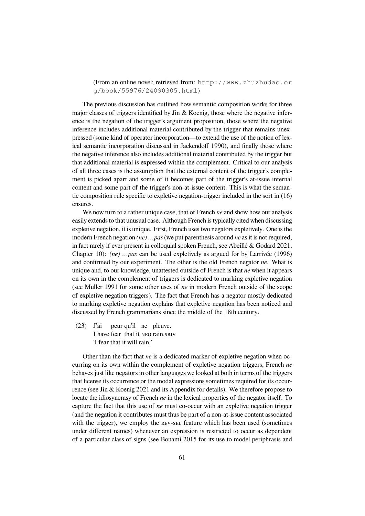(From an online novel; retrieved from: http://www.zhuzhudao.or g/book/55976/24090305.html)

The previous discussion has outlined how semantic composition works for three major classes of triggers identified by Jin & Koenig, those where the negative inference is the negation of the trigger's argument proposition, those where the negative inference includes additional material contributed by the trigger that remains unexpressed (some kind of operator incorporation—to extend the use of the notion of lexical semantic incorporation discussed in Jackendoff 1990), and finally those where the negative inference also includes additional material contributed by the trigger but that additional material is expressed within the complement. Critical to our analysis of all three cases is the assumption that the external content of the trigger's complement is picked apart and some of it becomes part of the trigger's at-issue internal content and some part of the trigger's non-at-issue content. This is what the semantic composition rule specific to expletive negation-trigger included in the sort in (16) ensures.

We now turn to a rather unique case, that of French *ne* and show how our analysis easily extends to that unusual case. Although French is typically cited when discussing expletive negation, it is unique. First, French uses two negators expletively. One is the modern French negation *(ne) …pas* (we put parenthesis around *ne* as it is not required, in fact rarely if ever present in colloquial spoken French, see Abeillé & Godard 2021, Chapter 10): *(ne) …pas* can be used expletively as argued for by Larrivée (1996) and confirmed by our experiment. The other is the old French negator *ne*. What is unique and, to our knowledge, unattested outside of French is that *ne* when it appears on its own in the complement of triggers is dedicated to marking expletive negation (see Muller 1991 for some other uses of *ne* in modern French outside of the scope of expletive negation triggers). The fact that French has a negator mostly dedicated to marking expletive negation explains that expletive negation has been noticed and discussed by French grammarians since the middle of the 18th century.

(23) J'ai I have fear that it NEG rain.SBJV peur qu'il ne pleuve. 'I fear that it will rain.'

Other than the fact that *ne* is a dedicated marker of expletive negation when occurring on its own within the complement of expletive negation triggers, French *ne* behaves just like negators in other languages we looked at both in terms of the triggers that license its occurrence or the modal expressions sometimes required for its occurrence (see Jin & Koenig 2021 and its Appendix for details). We therefore propose to locate the idiosyncrasy of French *ne* in the lexical properties of the negator itself. To capture the fact that this use of *ne* must co-occur with an expletive negation trigger (and the negation it contributes must thus be part of a non-at-issue content associated with the trigger), we employ the REV-SEL feature which has been used (sometimes under different names) whenever an expression is restricted to occur as dependent of a particular class of signs (see Bonami 2015 for its use to model periphrasis and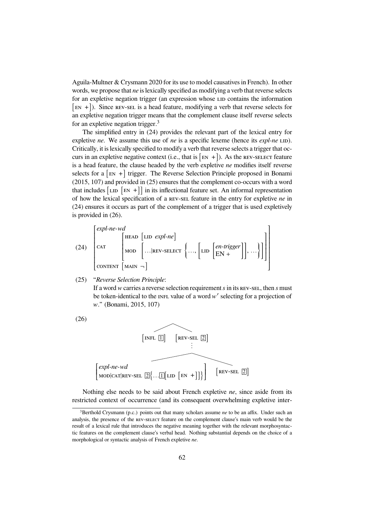Aguila-Multner & Crysmann 2020 for its use to model causatives in French). In other words, we propose that *ne* is lexically specified as modifying a verb that reverse selects for an expletive negation trigger (an expression whose LID contains the information  $[EN +]$ ). Since REV-SEL is a head feature, modifying a verb that reverse selects for an expletive negation trigger means that the complement clause itself reverse selects for an expletive negation trigger. $3$ 

The simplified entry in (24) provides the relevant part of the lexical entry for expletive *ne*. We assume this use of *ne* is a specific lexeme (hence its *expl-ne* LID). Critically, it is lexically specified to modify a verb that reverse selects a trigger that occurs in an expletive negative context (i.e., that is  $[EN +]$ ). As the REV-SELECT feature is a head feature, the clause headed by the verb expletive *ne* modifies itself reverse selects for a  $|E|$  + trigger. The Reverse Selection Principle proposed in Bonami (2015, 107) and provided in (25) ensures that the complement co-occurs with a word that includes  $\begin{bmatrix} \text{LD} & \text{EN} & + \end{bmatrix}$  in its inflectional feature set. An informal representation of how the lexical specification of a REV-SEL feature in the entry for expletive *ne* in (24) ensures it occurs as part of the complement of a trigger that is used expletively is provided in (26).

(24) 
$$
\begin{bmatrix} \expl\text{-}ne\text{-}wd \\ \text{CAT} \\ \text{COMT} \\ \text{COMTENT} \begin{bmatrix} \text{HEAD} & \text{LID} & \expl\text{-}ne \end{bmatrix} \\ \text{MOD} & \text{LID} \begin{bmatrix} \text{LID} & \text{LID} & \text{LID} & \text{LID} & \text{LID} \\ \text{LID} & \text{LID} & \text{LID} & \text{LID} & \text{LID} \end{bmatrix} \end{bmatrix}
$$

(25) "*Reverse Selection Principle*:

If a word  $w$  carries a reverse selection requirement  $s$  in its REV-SEL, then  $s$  must be token-identical to the INFL value of a word  $w'$  selecting for a projection of ." (Bonami, 2015, 107)





Nothing else needs to be said about French expletive *ne*, since aside from its restricted context of occurrence (and its consequent overwhelming expletive inter-

<sup>&</sup>lt;sup>3</sup>Berthold Crysmann (p.c.) points out that many scholars assume *ne* to be an affix. Under such an analysis, the presence of the REV-SELECT feature on the complement clause's main verb would be the result of a lexical rule that introduces the negative meaning together with the relevant morphosyntactic features on the complement clause's verbal head. Nothing substantial depends on the choice of a morphological or syntactic analysis of French expletive *ne*.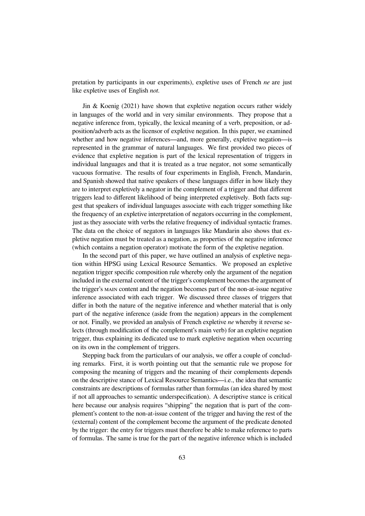pretation by participants in our experiments), expletive uses of French *ne* are just like expletive uses of English *not*.

Jin & Koenig (2021) have shown that expletive negation occurs rather widely in languages of the world and in very similar environments. They propose that a negative inference from, typically, the lexical meaning of a verb, preposition, or adposition/adverb acts as the licensor of expletive negation. In this paper, we examined whether and how negative inferences—and, more generally, expletive negation—is represented in the grammar of natural languages. We first provided two pieces of evidence that expletive negation is part of the lexical representation of triggers in individual languages and that it is treated as a true negator, not some semantically vacuous formative. The results of four experiments in English, French, Mandarin, and Spanish showed that native speakers of these languages differ in how likely they are to interpret expletively a negator in the complement of a trigger and that different triggers lead to different likelihood of being interpreted expletively. Both facts suggest that speakers of individual languages associate with each trigger something like the frequency of an expletive interpretation of negators occurring in the complement, just as they associate with verbs the relative frequency of individual syntactic frames. The data on the choice of negators in languages like Mandarin also shows that expletive negation must be treated as a negation, as properties of the negative inference (which contains a negation operator) motivate the form of the expletive negation.

In the second part of this paper, we have outlined an analysis of expletive negation within HPSG using Lexical Resource Semantics. We proposed an expletive negation trigger specific composition rule whereby only the argument of the negation included in the external content of the trigger's complement becomes the argument of the trigger's MAIN content and the negation becomes part of the non-at-issue negative inference associated with each trigger. We discussed three classes of triggers that differ in both the nature of the negative inference and whether material that is only part of the negative inference (aside from the negation) appears in the complement or not. Finally, we provided an analysis of French expletive *ne* whereby it reverse selects (through modification of the complement's main verb) for an expletive negation trigger, thus explaining its dedicated use to mark expletive negation when occurring on its own in the complement of triggers.

Stepping back from the particulars of our analysis, we offer a couple of concluding remarks. First, it is worth pointing out that the semantic rule we propose for composing the meaning of triggers and the meaning of their complements depends on the descriptive stance of Lexical Resource Semantics—i.e., the idea that semantic constraints are descriptions of formulas rather than formulas (an idea shared by most if not all approaches to semantic underspecification). A descriptive stance is critical here because our analysis requires "shipping" the negation that is part of the complement's content to the non-at-issue content of the trigger and having the rest of the (external) content of the complement become the argument of the predicate denoted by the trigger: the entry for triggers must therefore be able to make reference to parts of formulas. The same is true for the part of the negative inference which is included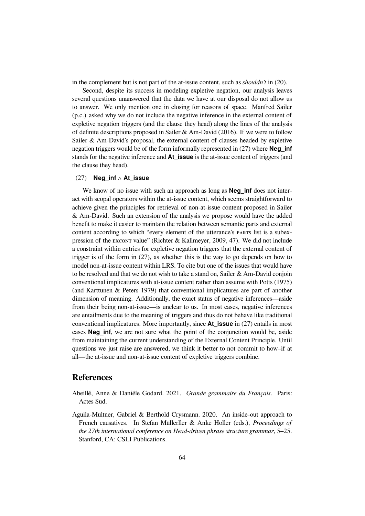in the complement but is not part of the at-issue content, such as *shouldn't* in (20).

Second, despite its success in modeling expletive negation, our analysis leaves several questions unanswered that the data we have at our disposal do not allow us to answer. We only mention one in closing for reasons of space. Manfred Sailer (p.c.) asked why we do not include the negative inference in the external content of expletive negation triggers (and the clause they head) along the lines of the analysis of definite descriptions proposed in Sailer  $\&$  Am-David (2016). If we were to follow Sailer & Am-David's proposal, the external content of clauses headed by expletive negation triggers would be of the form informally represented in (27) where **Neg\_inf** stands for the negative inference and **At** issue is the at-issue content of triggers (and the clause they head).

## (27) **Neg\_inf** ∧ **At\_issue**

We know of no issue with such an approach as long as **Neg\_inf** does not interact with scopal operators within the at-issue content, which seems straightforward to achieve given the principles for retrieval of non-at-issue content proposed in Sailer & Am-David. Such an extension of the analysis we propose would have the added benefit to make it easier to maintain the relation between semantic parts and external content according to which "every element of the utterance's PARTS list is a subexpression of the EXCONT value" (Richter & Kallmeyer, 2009, 47). We did not include a constraint within entries for expletive negation triggers that the external content of trigger is of the form in (27), as whether this is the way to go depends on how to model non-at-issue content within LRS. To cite but one of the issues that would have to be resolved and that we do not wish to take a stand on, Sailer & Am-David conjoin conventional implicatures with at-issue content rather than assume with Potts (1975) (and Karttunen & Peters 1979) that conventional implicatures are part of another dimension of meaning. Additionally, the exact status of negative inferences—aside from their being non-at-issue—is unclear to us. In most cases, negative inferences are entailments due to the meaning of triggers and thus do not behave like traditional conventional implicatures. More importantly, since **At\_issue** in (27) entails in most cases **Neg inf**, we are not sure what the point of the conjunction would be, aside from maintaining the current understanding of the External Content Principle. Until questions we just raise are answered, we think it better to not commit to how–if at all—the at-issue and non-at-issue content of expletive triggers combine.

## **References**

- Abeillé, Anne & Daniéle Godard. 2021. *Grande grammaire du Français*. Paris: Actes Sud.
- Aguila-Multner, Gabriel & Berthold Crysmann. 2020. An inside-out approach to French causatives. In Stefan Müllerller & Anke Holler (eds.), *Proceedings of the 27th international conference on Head-driven phrase structure grammar*, 5–25. Stanford, CA: CSLI Publications.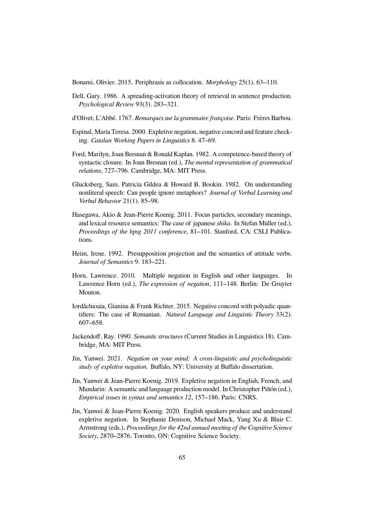Bonami, Olivier. 2015. Periphrasis as collocation. *Morphology* 25(1). 63–110.

- Dell, Gary. 1986. A spreading-activation theory of retrieval in sentence production. *Psychological Review* 93(3). 283–321.
- d'Olivet, L'Abbé. 1767. *Remarques sur la grammaire françoise*. Paris: Frères Barbou.
- Espinal, Maria Teresa. 2000. Expletive negation, negative concord and feature checking. *Catalan Working Papers in Linguistics* 8. 47–69.
- Ford, Marilyn, Joan Bresnan & Ronald Kaplan. 1982. A competence-based theory of syntactic closure. In Joan Bresnan (ed.), *The mental representation of grammatical relations*, 727–796. Cambridge, MA: MIT Press.
- Glucksberg, Sam, Patricia Gildea & Howard B. Bookin. 1982. On understanding nonliteral speech: Can people ignore metaphors? *Journal of Verbal Learning and Verbal Behavior* 21(1). 85–98.
- Hasegawa, Akio & Jean-Pierre Koenig. 2011. Focus particles, secondary meanings, and lexical resource semantics: The case of japanese *shika*. In Stefan Müller (ed.), *Proceedings of the hpsg 2011 conference*, 81–101. Stanford, CA: CSLI Publications.
- Heim, Irene. 1992. Presupposition projection and the semantics of attitude verbs. *Journal of Semantics* 9. 183–221.
- Horn, Lawrence. 2010. Multiple negation in English and other languages. In Lawrence Horn (ed.), *The expression of negation*, 111–148. Berlin: De Gruyter Mouton.
- Iordǎchioaia, Gianina & Frank Richter. 2015. Negative concord with polyadic quantifiers: The case of Romanian. *Natural Language and Linguistic Theory* 33(2). 607–658.
- Jackendoff, Ray. 1990. *Semantic structures* (Current Studies in Linguistics 18). Cambridge, MA: MIT Press.
- Jin, Yanwei. 2021. *Negation on your mind: A cross-linguistic and psycholinguistic study of expletive negation*. Buffalo, NY: University at Buffalo dissertation.
- Jin, Yanwei & Jean-Pierre Koenig. 2019. Expletive negation in English, French, and Mandarin: A semantic and language production model. In Christopher Piñón (ed.), *Empirical issues in syntax and semantics 12*, 157–186. Paris: CNRS.
- Jin, Yanwei & Jean-Pierre Koenig. 2020. English speakers produce and understand expletive negation. In Stephanie Denison, Michael Mack, Yang Xu & Blair C. Armstrong (eds.), *Proceedings for the 42nd annual meeting of the Cognitive Science Society*, 2870–2876. Toronto, ON: Cognitive Science Society.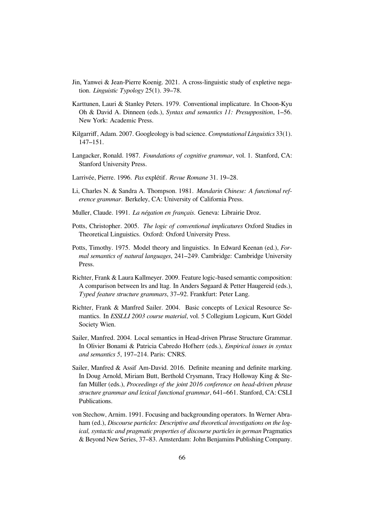- Jin, Yanwei & Jean-Pierre Koenig. 2021. A cross-linguistic study of expletive negation. *Linguistic Typology* 25(1). 39–78.
- Karttunen, Lauri & Stanley Peters. 1979. Conventional implicature. In Choon-Kyu Oh & David A. Dinneen (eds.), *Syntax and semantics 11: Presupposition*, 1–56. New York: Academic Press.
- Kilgarriff, Adam. 2007. Googleology is bad science. *Computational Linguistics* 33(1). 147–151.
- Langacker, Ronald. 1987. *Foundations of cognitive grammar*, vol. 1. Stanford, CA: Stanford University Press.
- Larrivée, Pierre. 1996. *Pas* explétif. *Revue Romane* 31. 19–28.
- Li, Charles N. & Sandra A. Thompson. 1981. *Mandarin Chinese: A functional reference grammar*. Berkeley, CA: University of California Press.
- Muller, Claude. 1991. *La négation en français*. Geneva: Librairie Droz.
- Potts, Christopher. 2005. *The logic of conventional implicatures* Oxford Studies in Theoretical Linguistics. Oxford: Oxford University Press.
- Potts, Timothy. 1975. Model theory and linguistics. In Edward Keenan (ed.), *Formal semantics of natural languages*, 241–249. Cambridge: Cambridge University Press.
- Richter, Frank & Laura Kallmeyer. 2009. Feature logic-based semantic composition: A comparison between lrs and ltag. In Anders Søgaard & Petter Haugereid (eds.), *Typed feature structure grammars*, 37–92. Frankfurt: Peter Lang.
- Richter, Frank & Manfred Sailer. 2004. Basic concepts of Lexical Resource Semantics. In *ESSLLI 2003 course material*, vol. 5 Collegium Logicum, Kurt Gödel Society Wien.
- Sailer, Manfred. 2004. Local semantics in Head-driven Phrase Structure Grammar. In Olivier Bonami & Patricia Cabredo Hofherr (eds.), *Empirical issues in syntax and semantics 5*, 197–214. Paris: CNRS.
- Sailer, Manfred & Assif Am-David. 2016. Definite meaning and definite marking. In Doug Arnold, Miriam Butt, Berthold Crysmann, Tracy Holloway King & Stefan Müller (eds.), *Proceedings of the joint 2016 conference on head-driven phrase structure grammar and lexical functional grammar*, 641–661. Stanford, CA: CSLI Publications.
- von Stechow, Arnim. 1991. Focusing and backgrounding operators. In Werner Abraham (ed.), *Discourse particles: Descriptive and theoretical investigations on the logical, syntactic and pragmatic properties of discourse particles in german* Pragmatics & Beyond New Series, 37–83. Amsterdam: John Benjamins Publishing Company.